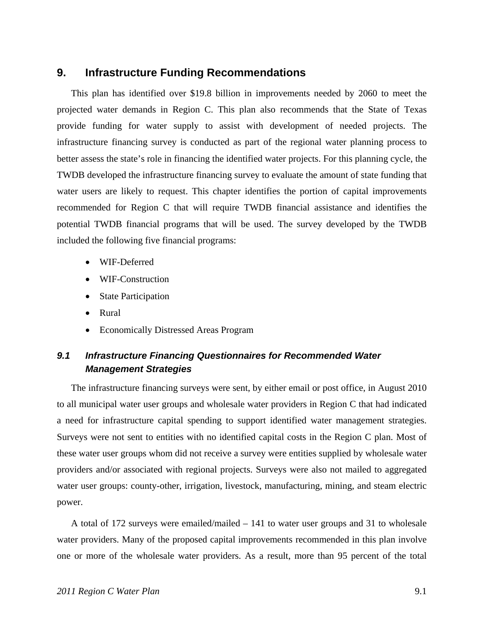# **9. Infrastructure Funding Recommendations**

This plan has identified over \$19.8 billion in improvements needed by 2060 to meet the projected water demands in Region C. This plan also recommends that the State of Texas provide funding for water supply to assist with development of needed projects. The infrastructure financing survey is conducted as part of the regional water planning process to better assess the state's role in financing the identified water projects. For this planning cycle, the TWDB developed the infrastructure financing survey to evaluate the amount of state funding that water users are likely to request. This chapter identifies the portion of capital improvements recommended for Region C that will require TWDB financial assistance and identifies the potential TWDB financial programs that will be used. The survey developed by the TWDB included the following five financial programs:

- WIF-Deferred
- WIF-Construction
- State Participation
- Rural
- Economically Distressed Areas Program

# *9.1 Infrastructure Financing Questionnaires for Recommended Water Management Strategies*

The infrastructure financing surveys were sent, by either email or post office, in August 2010 to all municipal water user groups and wholesale water providers in Region C that had indicated a need for infrastructure capital spending to support identified water management strategies. Surveys were not sent to entities with no identified capital costs in the Region C plan. Most of these water user groups whom did not receive a survey were entities supplied by wholesale water providers and/or associated with regional projects. Surveys were also not mailed to aggregated water user groups: county-other, irrigation, livestock, manufacturing, mining, and steam electric power.

A total of 172 surveys were emailed/mailed  $-141$  to water user groups and 31 to wholesale water providers. Many of the proposed capital improvements recommended in this plan involve one or more of the wholesale water providers. As a result, more than 95 percent of the total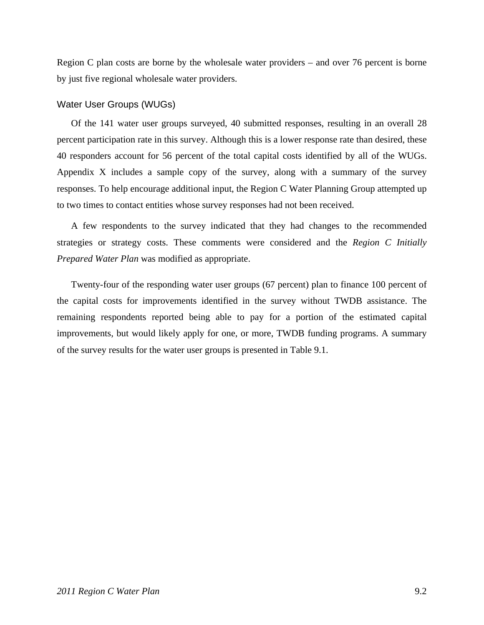Region C plan costs are borne by the wholesale water providers – and over 76 percent is borne by just five regional wholesale water providers.

## Water User Groups (WUGs)

Of the 141 water user groups surveyed, 40 submitted responses, resulting in an overall 28 percent participation rate in this survey. Although this is a lower response rate than desired, these 40 responders account for 56 percent of the total capital costs identified by all of the WUGs. Appendix X includes a sample copy of the survey, along with a summary of the survey responses. To help encourage additional input, the Region C Water Planning Group attempted up to two times to contact entities whose survey responses had not been received.

A few respondents to the survey indicated that they had changes to the recommended strategies or strategy costs. These comments were considered and the *Region C Initially Prepared Water Plan* was modified as appropriate.

Twenty-four of the responding water user groups (67 percent) plan to finance 100 percent of the capital costs for improvements identified in the survey without TWDB assistance. The remaining respondents reported being able to pay for a portion of the estimated capital improvements, but would likely apply for one, or more, TWDB funding programs. A summary of the survey results for the water user groups is presented in Table 9.1.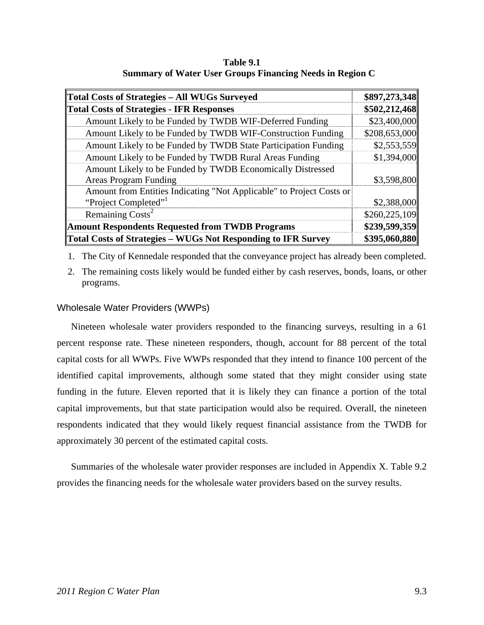| Total Costs of Strategies - All WUGs Surveyed                        | \$897,273,348 |
|----------------------------------------------------------------------|---------------|
| <b>Total Costs of Strategies - IFR Responses</b>                     | \$502,212,468 |
| Amount Likely to be Funded by TWDB WIF-Deferred Funding              | \$23,400,000  |
| Amount Likely to be Funded by TWDB WIF-Construction Funding          | \$208,653,000 |
| Amount Likely to be Funded by TWDB State Participation Funding       | \$2,553,559   |
| Amount Likely to be Funded by TWDB Rural Areas Funding               | \$1,394,000   |
| Amount Likely to be Funded by TWDB Economically Distressed           |               |
| Areas Program Funding                                                | \$3,598,800   |
| Amount from Entities Indicating "Not Applicable" to Project Costs or |               |
| "Project Completed" <sup>1</sup>                                     | \$2,388,000   |
| Remaining Costs <sup>2</sup>                                         | \$260,225,109 |
| <b>Amount Respondents Requested from TWDB Programs</b>               | \$239,599,359 |
| Total Costs of Strategies - WUGs Not Responding to IFR Survey        | \$395,060,880 |

**Table 9.1 Summary of Water User Groups Financing Needs in Region C** 

1. The City of Kennedale responded that the conveyance project has already been completed.

2. The remaining costs likely would be funded either by cash reserves, bonds, loans, or other programs.

### Wholesale Water Providers (WWPs)

Nineteen wholesale water providers responded to the financing surveys, resulting in a 61 percent response rate. These nineteen responders, though, account for 88 percent of the total capital costs for all WWPs. Five WWPs responded that they intend to finance 100 percent of the identified capital improvements, although some stated that they might consider using state funding in the future. Eleven reported that it is likely they can finance a portion of the total capital improvements, but that state participation would also be required. Overall, the nineteen respondents indicated that they would likely request financial assistance from the TWDB for approximately 30 percent of the estimated capital costs.

Summaries of the wholesale water provider responses are included in Appendix X. Table 9.2 provides the financing needs for the wholesale water providers based on the survey results.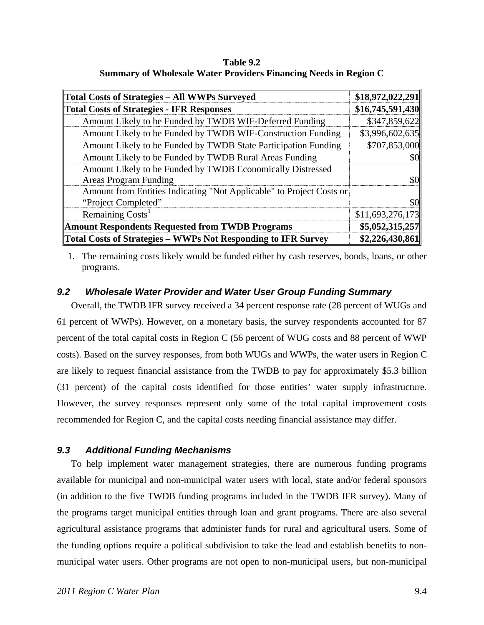**Table 9.2 Summary of Wholesale Water Providers Financing Needs in Region C** 

| Total Costs of Strategies - All WWPs Surveyed                        | \$18,972,022,291 |
|----------------------------------------------------------------------|------------------|
| <b>Total Costs of Strategies - IFR Responses</b>                     | \$16,745,591,430 |
| Amount Likely to be Funded by TWDB WIF-Deferred Funding              | \$347,859,622    |
| Amount Likely to be Funded by TWDB WIF-Construction Funding          | \$3,996,602,635  |
| Amount Likely to be Funded by TWDB State Participation Funding       | \$707,853,000    |
| Amount Likely to be Funded by TWDB Rural Areas Funding               | \$0              |
| Amount Likely to be Funded by TWDB Economically Distressed           |                  |
| <b>Areas Program Funding</b>                                         | \$OI             |
| Amount from Entities Indicating "Not Applicable" to Project Costs or |                  |
| "Project Completed"                                                  | \$0              |
| Remaining Costs <sup>1</sup>                                         | \$11,693,276,173 |
| <b>Amount Respondents Requested from TWDB Programs</b>               | \$5,052,315,257  |
| Total Costs of Strategies – WWPs Not Responding to IFR Survey        | \$2,226,430,861  |

1. The remaining costs likely would be funded either by cash reserves, bonds, loans, or other programs.

## *9.2 Wholesale Water Provider and Water User Group Funding Summary*

Overall, the TWDB IFR survey received a 34 percent response rate (28 percent of WUGs and 61 percent of WWPs). However, on a monetary basis, the survey respondents accounted for 87 percent of the total capital costs in Region C (56 percent of WUG costs and 88 percent of WWP costs). Based on the survey responses, from both WUGs and WWPs, the water users in Region C are likely to request financial assistance from the TWDB to pay for approximately \$5.3 billion (31 percent) of the capital costs identified for those entities' water supply infrastructure. However, the survey responses represent only some of the total capital improvement costs recommended for Region C, and the capital costs needing financial assistance may differ.

### *9.3 Additional Funding Mechanisms*

To help implement water management strategies, there are numerous funding programs available for municipal and non-municipal water users with local, state and/or federal sponsors (in addition to the five TWDB funding programs included in the TWDB IFR survey). Many of the programs target municipal entities through loan and grant programs. There are also several agricultural assistance programs that administer funds for rural and agricultural users. Some of the funding options require a political subdivision to take the lead and establish benefits to nonmunicipal water users. Other programs are not open to non-municipal users, but non-municipal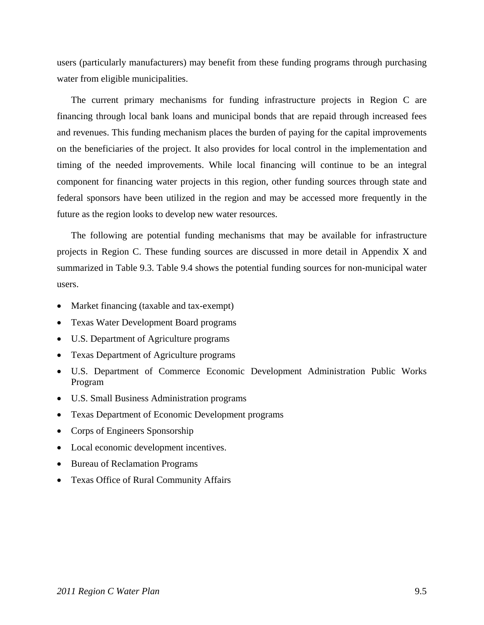users (particularly manufacturers) may benefit from these funding programs through purchasing water from eligible municipalities.

The current primary mechanisms for funding infrastructure projects in Region C are financing through local bank loans and municipal bonds that are repaid through increased fees and revenues. This funding mechanism places the burden of paying for the capital improvements on the beneficiaries of the project. It also provides for local control in the implementation and timing of the needed improvements. While local financing will continue to be an integral component for financing water projects in this region, other funding sources through state and federal sponsors have been utilized in the region and may be accessed more frequently in the future as the region looks to develop new water resources.

The following are potential funding mechanisms that may be available for infrastructure projects in Region C. These funding sources are discussed in more detail in Appendix X and summarized in Table 9.3. Table 9.4 shows the potential funding sources for non-municipal water users.

- Market financing (taxable and tax-exempt)
- Texas Water Development Board programs
- U.S. Department of Agriculture programs
- Texas Department of Agriculture programs
- U.S. Department of Commerce Economic Development Administration Public Works Program
- U.S. Small Business Administration programs
- Texas Department of Economic Development programs
- Corps of Engineers Sponsorship
- Local economic development incentives.
- Bureau of Reclamation Programs
- Texas Office of Rural Community Affairs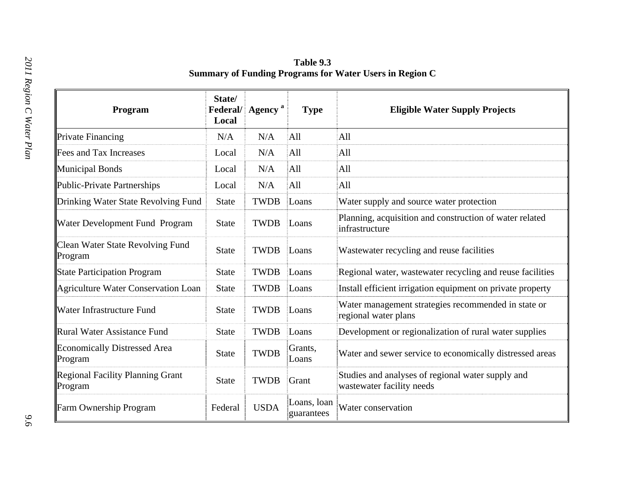| Program                                            | State/<br>Local | Federal/ Agency <sup>a</sup> | <b>Type</b>               | <b>Eligible Water Supply Projects</b>                                          |  |  |  |  |
|----------------------------------------------------|-----------------|------------------------------|---------------------------|--------------------------------------------------------------------------------|--|--|--|--|
| Private Financing                                  | N/A             | N/A                          | All                       | All                                                                            |  |  |  |  |
| <b>Fees and Tax Increases</b>                      | Local           | N/A                          | All                       | All                                                                            |  |  |  |  |
| <b>Municipal Bonds</b>                             | Local           | N/A                          | All                       | All                                                                            |  |  |  |  |
| Public-Private Partnerships                        | Local           | N/A                          | All                       | All <sup>1</sup>                                                               |  |  |  |  |
| Drinking Water State Revolving Fund                | <b>State</b>    | <b>TWDB</b>                  | Loans                     | Water supply and source water protection                                       |  |  |  |  |
| Water Development Fund Program                     | <b>State</b>    | <b>TWDB</b>                  | Loans                     | Planning, acquisition and construction of water related<br>infrastructure      |  |  |  |  |
| <b>Clean Water State Revolving Fund</b><br>Program | <b>State</b>    | <b>TWDB</b>                  | Loans                     | Wastewater recycling and reuse facilities                                      |  |  |  |  |
| <b>State Participation Program</b>                 | <b>State</b>    | <b>TWDB</b>                  | Loans                     | Regional water, wastewater recycling and reuse facilities                      |  |  |  |  |
| <b>Agriculture Water Conservation Loan</b>         | <b>State</b>    | <b>TWDB</b>                  | Loans                     | Install efficient irrigation equipment on private property                     |  |  |  |  |
| Water Infrastructure Fund                          | <b>State</b>    | <b>TWDB</b>                  | Loans                     | Water management strategies recommended in state or<br>regional water plans    |  |  |  |  |
| <b>Rural Water Assistance Fund</b>                 | <b>State</b>    | <b>TWDB</b>                  | Loans                     | Development or regionalization of rural water supplies                         |  |  |  |  |
| <b>Economically Distressed Area</b><br>Program     | <b>State</b>    | <b>TWDB</b>                  | Grants,<br>Loans          | Water and sewer service to economically distressed areas                       |  |  |  |  |
| <b>Regional Facility Planning Grant</b><br>Program | <b>State</b>    | <b>TWDB</b>                  | Grant                     | Studies and analyses of regional water supply and<br>wastewater facility needs |  |  |  |  |
| Farm Ownership Program                             | Federal         | <b>USDA</b>                  | Loans, loan<br>guarantees | Water conservation                                                             |  |  |  |  |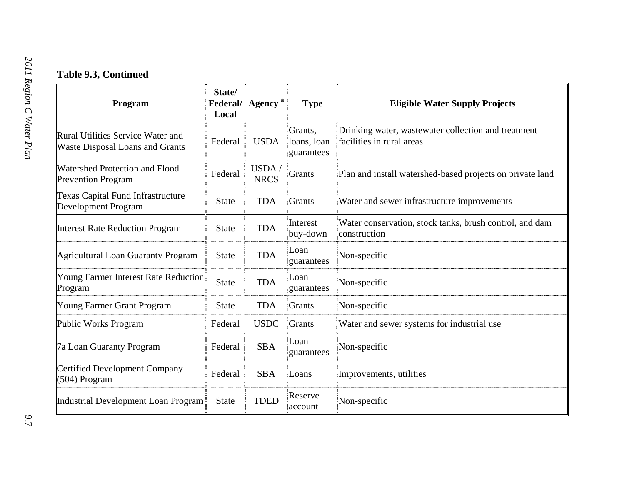| Program                                                                     | State/<br>Local | Federal/ Agency <sup>a</sup> | <b>Type</b>                          | <b>Eligible Water Supply Projects</b>                                            |  |  |
|-----------------------------------------------------------------------------|-----------------|------------------------------|--------------------------------------|----------------------------------------------------------------------------------|--|--|
| Rural Utilities Service Water and<br><b>Waste Disposal Loans and Grants</b> | Federal         | <b>USDA</b>                  | Grants,<br>loans, loan<br>guarantees | Drinking water, wastewater collection and treatment<br>facilities in rural areas |  |  |
| <b>Watershed Protection and Flood</b><br><b>Prevention Program</b>          | Federal         | USDA/<br><b>NRCS</b>         | Grants                               | Plan and install watershed-based projects on private land                        |  |  |
| <b>Texas Capital Fund Infrastructure</b><br>Development Program             | <b>State</b>    | <b>TDA</b>                   | Grants                               | Water and sewer infrastructure improvements                                      |  |  |
| <b>Interest Rate Reduction Program</b>                                      | <b>State</b>    | <b>TDA</b>                   | Interest<br>buy-down                 | Water conservation, stock tanks, brush control, and dam<br>construction          |  |  |
| <b>Agricultural Loan Guaranty Program</b>                                   | <b>State</b>    | <b>TDA</b>                   | Loan<br>guarantees                   | Non-specific                                                                     |  |  |
| Young Farmer Interest Rate Reduction<br>Program                             | State           | <b>TDA</b>                   | Loan<br>guarantees                   | Non-specific                                                                     |  |  |
| Young Farmer Grant Program                                                  | <b>State</b>    | <b>TDA</b>                   | Grants                               | Non-specific                                                                     |  |  |
| Public Works Program                                                        | Federal         | <b>USDC</b>                  | Grants                               | Water and sewer systems for industrial use                                       |  |  |
| <b>7a Loan Guaranty Program</b>                                             | Federal         | <b>SBA</b>                   | Loan<br>guarantees                   | Non-specific                                                                     |  |  |
| <b>Certified Development Company</b><br>$(504)$ Program                     | Federal         | <b>SBA</b>                   | Loans                                | Improvements, utilities                                                          |  |  |
| Industrial Development Loan Program                                         | <b>State</b>    | <b>TDED</b>                  | Reserve<br>account                   | Non-specific                                                                     |  |  |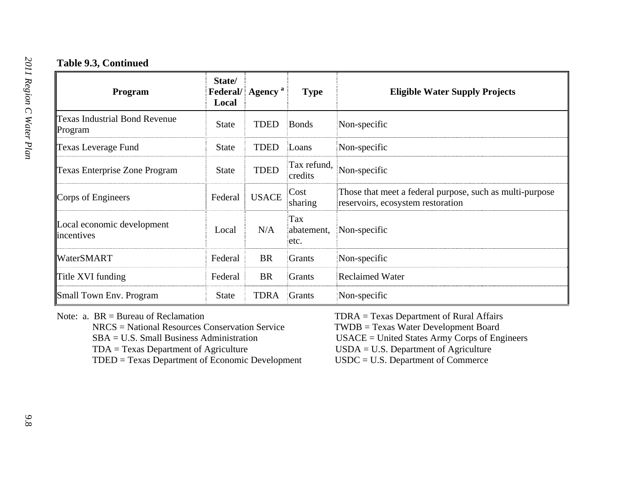| Program                                                                                                                                                                                                                               | State/<br>Local | Federal/ Agency <sup>a</sup> | <b>Type</b>               | <b>Eligible Water Supply Projects</b>                                                                                                                                                                                            |  |  |
|---------------------------------------------------------------------------------------------------------------------------------------------------------------------------------------------------------------------------------------|-----------------|------------------------------|---------------------------|----------------------------------------------------------------------------------------------------------------------------------------------------------------------------------------------------------------------------------|--|--|
| <b>Texas Industrial Bond Revenue</b><br>Program                                                                                                                                                                                       | <b>State</b>    | <b>TDED</b>                  | Bonds                     | Non-specific                                                                                                                                                                                                                     |  |  |
| <b>Texas Leverage Fund</b>                                                                                                                                                                                                            | <b>State</b>    | <b>TDED</b>                  | Loans                     | Non-specific                                                                                                                                                                                                                     |  |  |
| <b>Texas Enterprise Zone Program</b>                                                                                                                                                                                                  | <b>State</b>    | <b>TDED</b>                  | Tax refund,<br>credits    | Non-specific                                                                                                                                                                                                                     |  |  |
| Corps of Engineers                                                                                                                                                                                                                    | Federal         | <b>USACE</b>                 | Cost<br>sharing           | Those that meet a federal purpose, such as multi-purpose<br>reservoirs, ecosystem restoration                                                                                                                                    |  |  |
| Local economic development<br>incentives                                                                                                                                                                                              | Local           | N/A                          | Tax<br>abatement,<br>etc. | Non-specific                                                                                                                                                                                                                     |  |  |
| <b>WaterSMART</b>                                                                                                                                                                                                                     | Federal         | <b>BR</b>                    | Grants                    | Non-specific                                                                                                                                                                                                                     |  |  |
| Title XVI funding                                                                                                                                                                                                                     | Federal         | <b>BR</b>                    | Grants                    | Reclaimed Water                                                                                                                                                                                                                  |  |  |
| Small Town Env. Program                                                                                                                                                                                                               | <b>State</b>    | <b>TDRA</b>                  | Grants                    | Non-specific                                                                                                                                                                                                                     |  |  |
| Note: a. $BR = Bureau$ of Reclamation<br>NRCS = National Resources Conservation Service<br>$SBA = U.S.$ Small Business Administration<br>$TDA = Texas Department of Agriculture$<br>$TDED = Texas Department of Economic Development$ |                 |                              |                           | $TDRAM = Texas Department of Rural Affairs$<br><b>TWDB</b> = Texas Water Development Board<br>$USACE = United States Army Corps of Engineers$<br>$USDA = U.S. Department of Agriculture$<br>$USDC = U.S. Department of Commerce$ |  |  |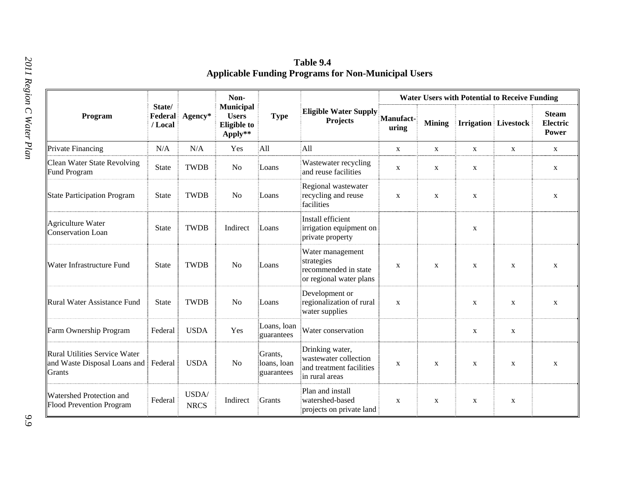| Program                                                                                       |                  |                      | Non-<br><b>Municipal</b><br><b>Users</b><br><b>Eligible to</b><br>Apply** |                                      |                                                                                        | <b>Water Users with Potential to Receive Funding</b> |               |                             |              |                                          |  |
|-----------------------------------------------------------------------------------------------|------------------|----------------------|---------------------------------------------------------------------------|--------------------------------------|----------------------------------------------------------------------------------------|------------------------------------------------------|---------------|-----------------------------|--------------|------------------------------------------|--|
|                                                                                               | State/<br>/Local | Federal Agency*      |                                                                           | <b>Type</b>                          | <b>Eligible Water Supply</b><br>Projects                                               | Manufact-<br>uring                                   | <b>Mining</b> | <b>Irrigation Livestock</b> |              | <b>Steam</b><br>Electric<br><b>Power</b> |  |
| Private Financing                                                                             | N/A              | N/A                  | Yes                                                                       | All                                  | All                                                                                    | $\mathbf{X}$                                         | $\mathbf{X}$  | X                           | X            | $\mathbf X$                              |  |
| Clean Water State Revolving<br>Fund Program                                                   | <b>State</b>     | <b>TWDB</b>          | No                                                                        | ≣Loans                               | Wastewater recycling<br>and reuse facilities                                           | $\mathbf X$                                          | X             | X                           |              | $\mathbf X$                              |  |
| State Participation Program                                                                   | <b>State</b>     | <b>TWDB</b>          | No                                                                        | ≣Loans                               | Regional wastewater<br>recycling and reuse<br>facilities                               | $\mathbf X$                                          | $\mathbf X$   | X                           |              | $\mathbf X$                              |  |
| Agriculture Water<br>Conservation Loan                                                        | <b>State</b>     | <b>TWDB</b>          | Indirect                                                                  | Loans                                | Install efficient<br>irrigation equipment on<br>private property                       |                                                      |               | X                           |              |                                          |  |
| <b>Water Infrastructure Fund</b>                                                              | <b>State</b>     | <b>TWDB</b>          | No                                                                        | Loans                                | Water management<br>strategies<br>recommended in state<br>or regional water plans      | $\mathbf X$                                          | $\mathbf X$   | X                           | $\mathbf X$  | $\mathbf X$                              |  |
| <b>Rural Water Assistance Fund</b>                                                            | <b>State</b>     | <b>TWDB</b>          | N <sub>o</sub>                                                            | Loans                                | Development or<br>regionalization of rural<br>water supplies                           | X                                                    |               | $\mathbf{X}$                | $\mathbf{X}$ | X                                        |  |
| Farm Ownership Program                                                                        | Federal          | <b>USDA</b>          | Yes                                                                       | Loans, loan<br>guarantees            | Water conservation                                                                     |                                                      |               | $\mathbf X$                 | $\mathbf X$  |                                          |  |
| <b>Rural Utilities Service Water</b><br>and Waste Disposal Loans and Federal<br><b>Grants</b> |                  | <b>USDA</b>          | N <sub>0</sub>                                                            | Grants,<br>loans, loan<br>guarantees | Drinking water,<br>wastewater collection<br>and treatment facilities<br>in rural areas | X                                                    | $\mathbf X$   | X                           | $\mathbf X$  | $\mathbf X$                              |  |
| <b>Watershed Protection and</b><br>Flood Prevention Program                                   | Federal          | USDA/<br><b>NRCS</b> | Indirect                                                                  | Grants                               | Plan and install<br>watershed-based<br>projects on private land                        | $\mathbf X$                                          | $\mathbf X$   | X                           | $\mathbf{X}$ |                                          |  |